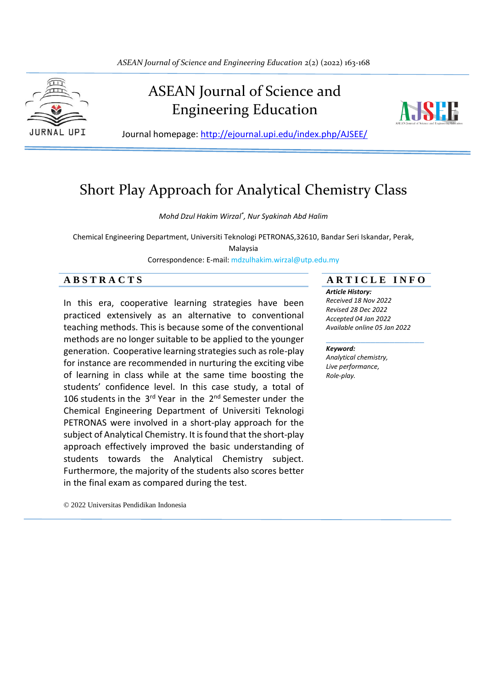

# ASEAN Journal of Science and Engineering Education



Journal homepage: http://ejournal.upi.edu/index.php/AJSEE/

# Short Play Approach for Analytical Chemistry Class

*Mohd Dzul Hakim Wirzal\* , Nur Syakinah Abd Halim*

Chemical Engineering Department, Universiti Teknologi PETRONAS,32610, Bandar Seri Iskandar, Perak,

Malaysia

Correspondence: E-mail: mdzulhakim.wirzal@utp.edu.my

In this era, cooperative learning strategies have been practiced extensively as an alternative to conventional teaching methods. This is because some of the conventional methods are no longer suitable to be applied to the younger generation. Cooperative learning strategies such as role-play for instance are recommended in nurturing the exciting vibe of learning in class while at the same time boosting the students' confidence level. In this case study, a total of 106 students in the  $3<sup>rd</sup>$  Year in the  $2<sup>nd</sup>$  Semester under the Chemical Engineering Department of Universiti Teknologi PETRONAS were involved in a short-play approach for the subject of Analytical Chemistry. It is found that the short-play approach effectively improved the basic understanding of students towards the Analytical Chemistry subject. Furthermore, the majority of the students also scores better in the final exam as compared during the test.

© 2022 Universitas Pendidikan Indonesia

## **A B S T R A C T S A R T I C L E I N F O**

*Article History: Received 18 Nov 2022*

*Revised 28 Dec 2022 Accepted 04 Jan 2022 Available online 05 Jan 2022*

#### \_\_\_\_\_\_\_\_\_\_\_\_\_\_\_\_\_\_\_\_ *Keyword:*

*Analytical chemistry, Live performance, Role-play.*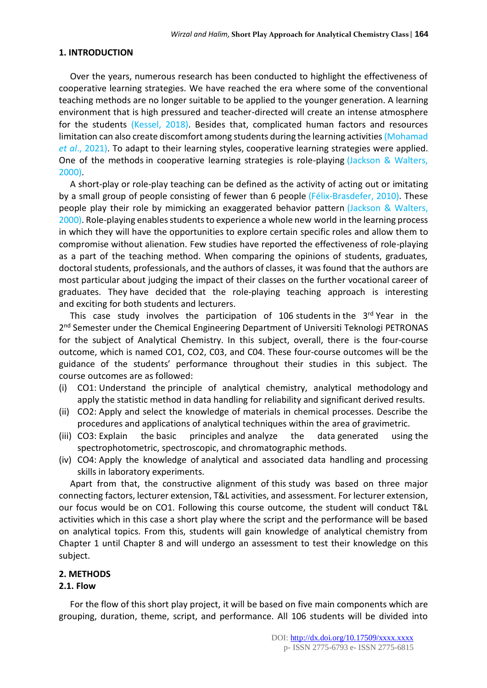## **1. INTRODUCTION**

Over the years, numerous research has been conducted to highlight the effectiveness of cooperative learning strategies. We have reached the era where some of the conventional teaching methods are no longer suitable to be applied to the younger generation. A learning environment that is high pressured and teacher-directed will create an intense atmosphere for the students (Kessel, 2018). Besides that, complicated human factors and resources limitation can also create discomfort among students during the learning activities(Mohamad *et al*., 2021). To adapt to their learning styles, cooperative learning strategies were applied. One of the methods in cooperative learning strategies is role-playing (Jackson & Walters, 2000).

A short-play or role-play teaching can be defined as the activity of acting out or imitating by a small group of people consisting of fewer than 6 people (Félix-Brasdefer, 2010). These people play their role by mimicking an exaggerated behavior pattern (Jackson & Walters, 2000). Role-playing enables students to experience a whole new world in the learning process in which they will have the opportunities to explore certain specific roles and allow them to compromise without alienation. Few studies have reported the effectiveness of role-playing as a part of the teaching method. When comparing the opinions of students, graduates, doctoral students, professionals, and the authors of classes, it was found that the authors are most particular about judging the impact of their classes on the further vocational career of graduates. They have decided that the role-playing teaching approach is interesting and exciting for both students and lecturers.

This case study involves the participation of 106 students in the 3<sup>rd</sup> Year in the 2<sup>nd</sup> Semester under the Chemical Engineering Department of Universiti Teknologi PETRONAS for the subject of Analytical Chemistry. In this subject, overall, there is the four-course outcome, which is named CO1, CO2, C03, and C04. These four-course outcomes will be the guidance of the students' performance throughout their studies in this subject. The course outcomes are as followed:

- (i) CO1: Understand the principle of analytical chemistry, analytical methodology and apply the statistic method in data handling for reliability and significant derived results.
- (ii) CO2: Apply and select the knowledge of materials in chemical processes. Describe the procedures and applications of analytical techniques within the area of gravimetric.
- (iii) CO3: Explain the basic principles and analyze the data generated using the spectrophotometric, spectroscopic, and chromatographic methods.
- (iv) CO4: Apply the knowledge of analytical and associated data handling and processing skills in laboratory experiments.

Apart from that, the constructive alignment of this study was based on three major connecting factors, lecturer extension, T&L activities, and assessment. For lecturer extension, our focus would be on CO1. Following this course outcome, the student will conduct T&L activities which in this case a short play where the script and the performance will be based on analytical topics. From this, students will gain knowledge of analytical chemistry from Chapter 1 until Chapter 8 and will undergo an assessment to test their knowledge on this subject.

#### **2. METHODS**

# **2.1. Flow**

For the flow of this short play project, it will be based on five main components which are grouping, duration, theme, script, and performance. All 106 students will be divided into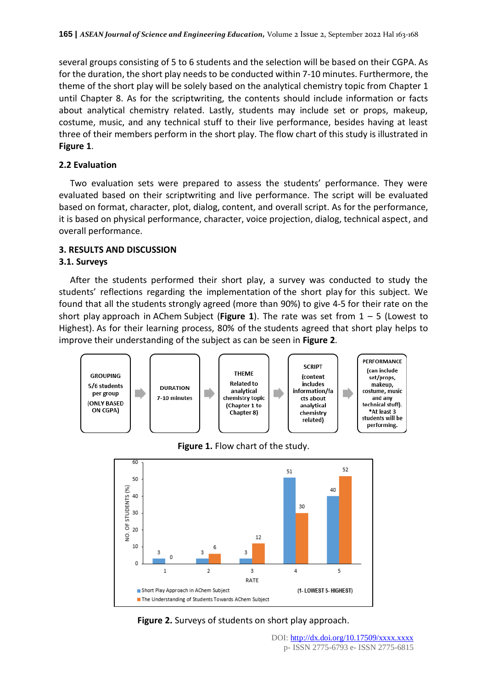several groups consisting of 5 to 6 students and the selection will be based on their CGPA. As for the duration, the short play needs to be conducted within 7-10 minutes. Furthermore, the theme of the short play will be solely based on the analytical chemistry topic from Chapter 1 until Chapter 8. As for the scriptwriting, the contents should include information or facts about analytical chemistry related. Lastly, students may include set or props, makeup, costume, music, and any technical stuff to their live performance, besides having at least three of their members perform in the short play. The flow chart of this study is illustrated in **Figure 1**.

# **2.2 Evaluation**

Two evaluation sets were prepared to assess the students' performance. They were evaluated based on their scriptwriting and live performance. The script will be evaluated based on format, character, plot, dialog, content, and overall script. As for the performance, it is based on physical performance, character, voice projection, dialog, technical aspect, and overall performance.

# **3. RESULTS AND DISCUSSION**

# **3.1. Surveys**

After the students performed their short play, a survey was conducted to study the students' reflections regarding the implementation of the short play for this subject. We found that all the students strongly agreed (more than 90%) to give 4-5 for their rate on the short play approach in AChem Subject (**Figure 1**). The rate was set from 1 – 5 (Lowest to Highest). As for their learning process, 80% of the students agreed that short play helps to improve their understanding of the subject as can be seen in **Figure 2**.







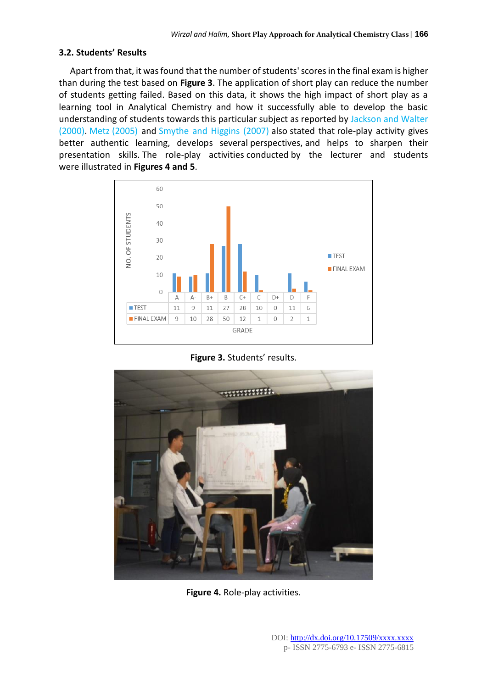## **3.2. Students' Results**

Apart from that, it was found that the number of students' scores in the final exam is higher than during the test based on **Figure 3**. The application of short play can reduce the number of students getting failed. Based on this data, it shows the high impact of short play as a learning tool in Analytical Chemistry and how it successfully able to develop the basic understanding of students towards this particular subject as reported by Jackson and Walter (2000). Metz (2005) and Smythe and Higgins (2007) also stated that role-play activity gives better authentic learning, develops several perspectives, and helps to sharpen their presentation skills. The role-play activities conducted by the lecturer and students were illustrated in **Figures 4 and 5**.



**Figure 3.** Students' results.



**Figure 4.** Role-play activities.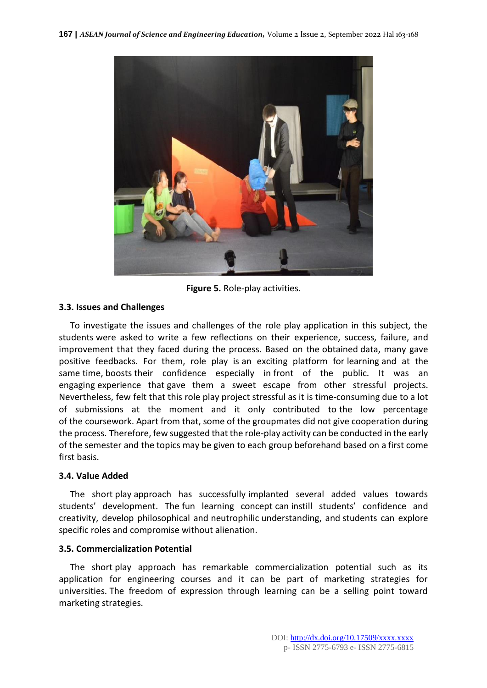

**Figure 5.** Role-play activities.

# **3.3. Issues and Challenges**

To investigate the issues and challenges of the role play application in this subject, the students were asked to write a few reflections on their experience, success, failure, and improvement that they faced during the process. Based on the obtained data, many gave positive feedbacks. For them, role play is an exciting platform for learning and at the same time, boosts their confidence especially in front of the public. It was an engaging experience that gave them a sweet escape from other stressful projects. Nevertheless, few felt that this role play project stressful as it is time-consuming due to a lot of submissions at the moment and it only contributed to the low percentage of the coursework. Apart from that, some of the groupmates did not give cooperation during the process. Therefore, few suggested that the role-play activity can be conducted in the early of the semester and the topics may be given to each group beforehand based on a first come first basis.

# **3.4. Value Added**

The short play approach has successfully implanted several added values towards students' development. The fun learning concept can instill students' confidence and creativity, develop philosophical and neutrophilic understanding, and students can explore specific roles and compromise without alienation.

# **3.5. Commercialization Potential**

The short play approach has remarkable commercialization potential such as its application for engineering courses and it can be part of marketing strategies for universities. The freedom of expression through learning can be a selling point toward marketing strategies.